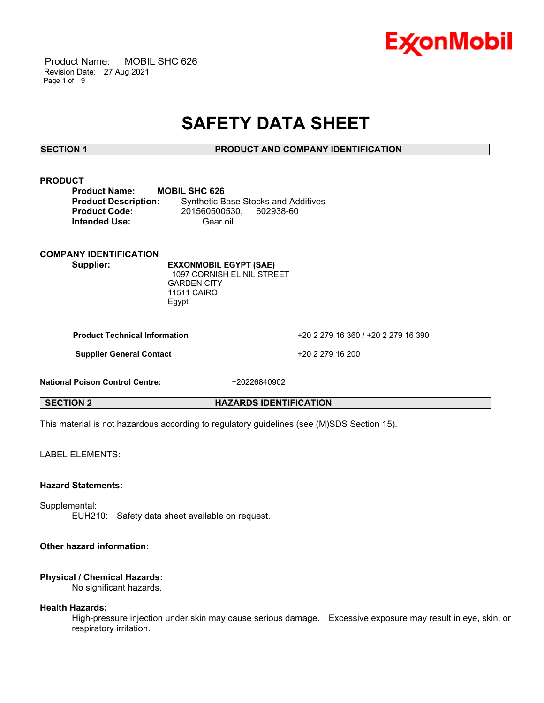

 Product Name: MOBIL SHC 626 Revision Date: 27 Aug 2021 Page 1 of 9

# **SAFETY DATA SHEET**

\_\_\_\_\_\_\_\_\_\_\_\_\_\_\_\_\_\_\_\_\_\_\_\_\_\_\_\_\_\_\_\_\_\_\_\_\_\_\_\_\_\_\_\_\_\_\_\_\_\_\_\_\_\_\_\_\_\_\_\_\_\_\_\_\_\_\_\_\_\_\_\_\_\_\_\_\_\_\_\_\_\_\_\_\_\_\_\_\_\_\_\_\_\_\_\_\_\_\_\_\_\_\_\_\_\_\_\_\_\_\_\_\_\_\_\_\_

#### **SECTION 1 PRODUCT AND COMPANY IDENTIFICATION**

#### **PRODUCT**

| <b>Product Name:</b>        | <b>MOBIL SHC 626</b>    |                                            |
|-----------------------------|-------------------------|--------------------------------------------|
| <b>Product Description:</b> |                         | <b>Synthetic Base Stocks and Additives</b> |
| <b>Product Code:</b>        | 201560500530. 602938-60 |                                            |
| <b>Intended Use:</b>        | Gear oil                |                                            |

## **COMPANY IDENTIFICATION**

**Supplier: EXXONMOBIL EGYPT (SAE)** 1097 CORNISH EL NIL STREET GARDEN CITY 11511 CAIRO Egypt

**Product Technical Information** +20 2 279 16 360 / +20 2 279 16 390

**Supplier General Contact** +20 2 279 16 200

**National Poison Control Centre:** +20226840902

**SECTION 2 HAZARDS IDENTIFICATION**

This material is not hazardous according to regulatory guidelines (see (M)SDS Section 15).

LABEL ELEMENTS:

#### **Hazard Statements:**

Supplemental: EUH210: Safety data sheet available on request.

#### **Other hazard information:**

#### **Physical / Chemical Hazards:**

No significant hazards.

#### **Health Hazards:**

High-pressure injection under skin may cause serious damage. Excessive exposure may result in eye, skin, or respiratory irritation.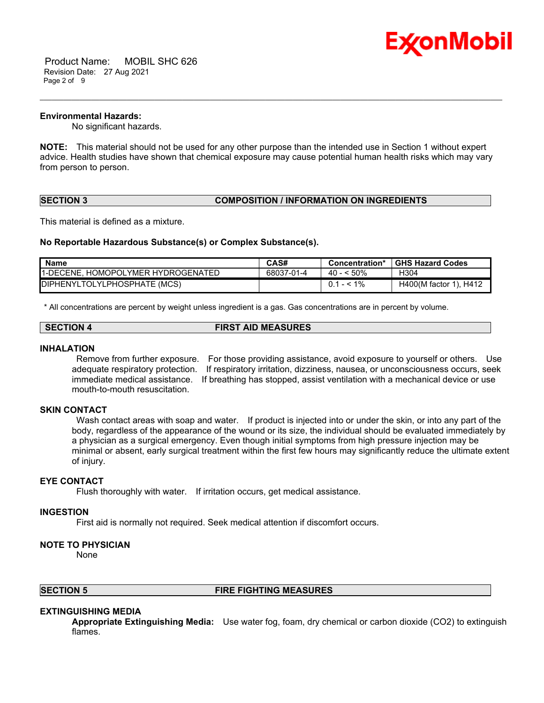

 Product Name: MOBIL SHC 626 Revision Date: 27 Aug 2021 Page 2 of 9

#### **Environmental Hazards:**

No significant hazards.

**NOTE:** This material should not be used for any other purpose than the intended use in Section 1 without expert advice. Health studies have shown that chemical exposure may cause potential human health risks which may vary from person to person.

\_\_\_\_\_\_\_\_\_\_\_\_\_\_\_\_\_\_\_\_\_\_\_\_\_\_\_\_\_\_\_\_\_\_\_\_\_\_\_\_\_\_\_\_\_\_\_\_\_\_\_\_\_\_\_\_\_\_\_\_\_\_\_\_\_\_\_\_\_\_\_\_\_\_\_\_\_\_\_\_\_\_\_\_\_\_\_\_\_\_\_\_\_\_\_\_\_\_\_\_\_\_\_\_\_\_\_\_\_\_\_\_\_\_\_\_\_

### **SECTION 3 COMPOSITION / INFORMATION ON INGREDIENTS**

This material is defined as a mixture.

#### **No Reportable Hazardous Substance(s) or Complex Substance(s).**

| <b>Name</b>                         | CAS#       | Concentration* | <b>GHS Hazard Codes</b> |
|-------------------------------------|------------|----------------|-------------------------|
| 11-DECENE. HOMOPOLYMER HYDROGENATED | 68037-01-4 | 40 - < 50%     | H304                    |
| DIPHENYLTOLYLPHOSPHATE (MCS)        |            | $0.1 - 1\%$    | H400(M factor 1), H412  |

\* All concentrations are percent by weight unless ingredient is a gas. Gas concentrations are in percent by volume.

#### **SECTION 4 FIRST AID MEASURES**

#### **INHALATION**

Remove from further exposure. For those providing assistance, avoid exposure to yourself or others. Use adequate respiratory protection. If respiratory irritation, dizziness, nausea, or unconsciousness occurs, seek immediate medical assistance. If breathing has stopped, assist ventilation with a mechanical device or use mouth-to-mouth resuscitation.

#### **SKIN CONTACT**

Wash contact areas with soap and water. If product is injected into or under the skin, or into any part of the body, regardless of the appearance of the wound or its size, the individual should be evaluated immediately by a physician as a surgical emergency. Even though initial symptoms from high pressure injection may be minimal or absent, early surgical treatment within the first few hours may significantly reduce the ultimate extent of injury.

#### **EYE CONTACT**

Flush thoroughly with water. If irritation occurs, get medical assistance.

#### **INGESTION**

First aid is normally not required. Seek medical attention if discomfort occurs.

#### **NOTE TO PHYSICIAN**

None

#### **SECTION 5 FIRE FIGHTING MEASURES**

#### **EXTINGUISHING MEDIA**

**Appropriate Extinguishing Media:** Use water fog, foam, dry chemical or carbon dioxide (CO2) to extinguish flames.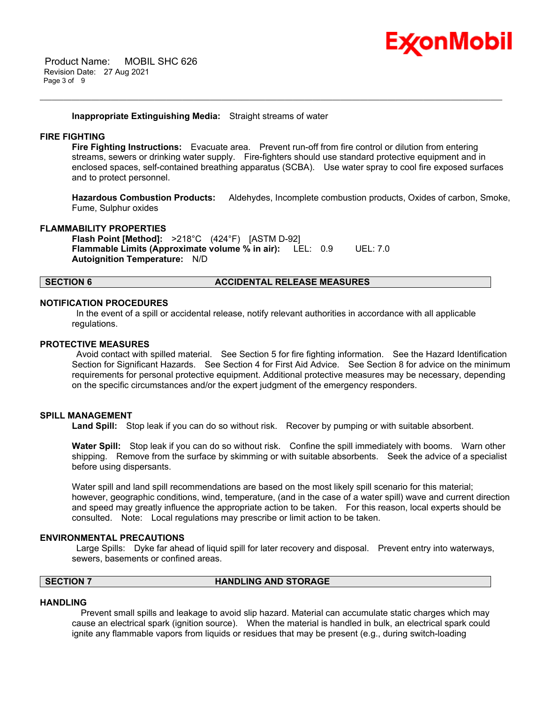

#### **Inappropriate Extinguishing Media:** Straight streams of water

#### **FIRE FIGHTING**

**Fire Fighting Instructions:** Evacuate area. Prevent run-off from fire control or dilution from entering streams, sewers or drinking water supply. Fire-fighters should use standard protective equipment and in enclosed spaces, self-contained breathing apparatus (SCBA). Use water spray to cool fire exposed surfaces and to protect personnel.

\_\_\_\_\_\_\_\_\_\_\_\_\_\_\_\_\_\_\_\_\_\_\_\_\_\_\_\_\_\_\_\_\_\_\_\_\_\_\_\_\_\_\_\_\_\_\_\_\_\_\_\_\_\_\_\_\_\_\_\_\_\_\_\_\_\_\_\_\_\_\_\_\_\_\_\_\_\_\_\_\_\_\_\_\_\_\_\_\_\_\_\_\_\_\_\_\_\_\_\_\_\_\_\_\_\_\_\_\_\_\_\_\_\_\_\_\_

**Hazardous Combustion Products:** Aldehydes, Incomplete combustion products, Oxides of carbon, Smoke, Fume, Sulphur oxides

#### **FLAMMABILITY PROPERTIES**

**Flash Point [Method]:** >218°C (424°F) [ASTM D-92] **Flammable Limits (Approximate volume % in air):** LEL: 0.9 UEL: 7.0 **Autoignition Temperature:** N/D

#### **SECTION 6 ACCIDENTAL RELEASE MEASURES**

#### **NOTIFICATION PROCEDURES**

In the event of a spill or accidental release, notify relevant authorities in accordance with all applicable regulations.

#### **PROTECTIVE MEASURES**

Avoid contact with spilled material. See Section 5 for fire fighting information. See the Hazard Identification Section for Significant Hazards. See Section 4 for First Aid Advice. See Section 8 for advice on the minimum requirements for personal protective equipment. Additional protective measures may be necessary, depending on the specific circumstances and/or the expert judgment of the emergency responders.

#### **SPILL MANAGEMENT**

**Land Spill:** Stop leak if you can do so without risk. Recover by pumping or with suitable absorbent.

**Water Spill:** Stop leak if you can do so without risk. Confine the spill immediately with booms. Warn other shipping. Remove from the surface by skimming or with suitable absorbents. Seek the advice of a specialist before using dispersants.

Water spill and land spill recommendations are based on the most likely spill scenario for this material; however, geographic conditions, wind, temperature, (and in the case of a water spill) wave and current direction and speed may greatly influence the appropriate action to be taken. For this reason, local experts should be consulted. Note: Local regulations may prescribe or limit action to be taken.

#### **ENVIRONMENTAL PRECAUTIONS**

Large Spills: Dyke far ahead of liquid spill for later recovery and disposal. Prevent entry into waterways, sewers, basements or confined areas.

### **SECTION 7 HANDLING AND STORAGE**

#### **HANDLING**

 Prevent small spills and leakage to avoid slip hazard. Material can accumulate static charges which may cause an electrical spark (ignition source). When the material is handled in bulk, an electrical spark could ignite any flammable vapors from liquids or residues that may be present (e.g., during switch-loading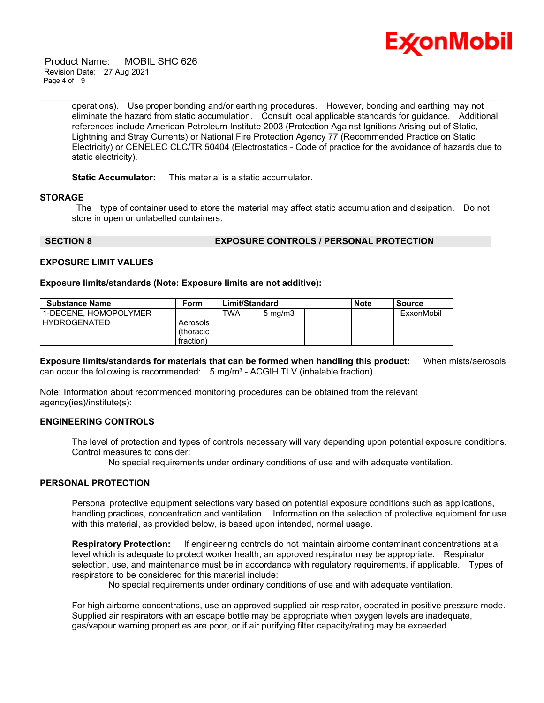

 Product Name: MOBIL SHC 626 Revision Date: 27 Aug 2021 Page 4 of 9

> operations). Use proper bonding and/or earthing procedures. However, bonding and earthing may not eliminate the hazard from static accumulation. Consult local applicable standards for guidance. Additional references include American Petroleum Institute 2003 (Protection Against Ignitions Arising out of Static, Lightning and Stray Currents) or National Fire Protection Agency 77 (Recommended Practice on Static Electricity) or CENELEC CLC/TR 50404 (Electrostatics - Code of practice for the avoidance of hazards due to static electricity).

\_\_\_\_\_\_\_\_\_\_\_\_\_\_\_\_\_\_\_\_\_\_\_\_\_\_\_\_\_\_\_\_\_\_\_\_\_\_\_\_\_\_\_\_\_\_\_\_\_\_\_\_\_\_\_\_\_\_\_\_\_\_\_\_\_\_\_\_\_\_\_\_\_\_\_\_\_\_\_\_\_\_\_\_\_\_\_\_\_\_\_\_\_\_\_\_\_\_\_\_\_\_\_\_\_\_\_\_\_\_\_\_\_\_\_\_\_

#### **Static Accumulator:** This material is a static accumulator.

#### **STORAGE**

The type of container used to store the material may affect static accumulation and dissipation. Do not store in open or unlabelled containers.

#### **SECTION 8 EXPOSURE CONTROLS / PERSONAL PROTECTION**

#### **EXPOSURE LIMIT VALUES**

#### **Exposure limits/standards (Note: Exposure limits are not additive):**

| <b>Substance Name</b> | Form      | Limit/Standard |                  | <b>Note</b> | <b>Source</b> |
|-----------------------|-----------|----------------|------------------|-------------|---------------|
| 1-DECENE. HOMOPOLYMER |           | TWA            | $5 \text{ mg/m}$ |             | ExxonMobil    |
| <b>HYDROGENATED</b>   | Aerosols  |                |                  |             |               |
|                       | (thoracic |                |                  |             |               |
|                       | fraction) |                |                  |             |               |

**Exposure limits/standards for materials that can be formed when handling this product:** When mists/aerosols can occur the following is recommended:  $5 \text{ mg/m}^3$  - ACGIH TLV (inhalable fraction).

Note: Information about recommended monitoring procedures can be obtained from the relevant agency(ies)/institute(s):

#### **ENGINEERING CONTROLS**

The level of protection and types of controls necessary will vary depending upon potential exposure conditions. Control measures to consider:

No special requirements under ordinary conditions of use and with adequate ventilation.

### **PERSONAL PROTECTION**

Personal protective equipment selections vary based on potential exposure conditions such as applications, handling practices, concentration and ventilation. Information on the selection of protective equipment for use with this material, as provided below, is based upon intended, normal usage.

**Respiratory Protection:** If engineering controls do not maintain airborne contaminant concentrations at a level which is adequate to protect worker health, an approved respirator may be appropriate. Respirator selection, use, and maintenance must be in accordance with regulatory requirements, if applicable. Types of respirators to be considered for this material include:

No special requirements under ordinary conditions of use and with adequate ventilation.

For high airborne concentrations, use an approved supplied-air respirator, operated in positive pressure mode. Supplied air respirators with an escape bottle may be appropriate when oxygen levels are inadequate, gas/vapour warning properties are poor, or if air purifying filter capacity/rating may be exceeded.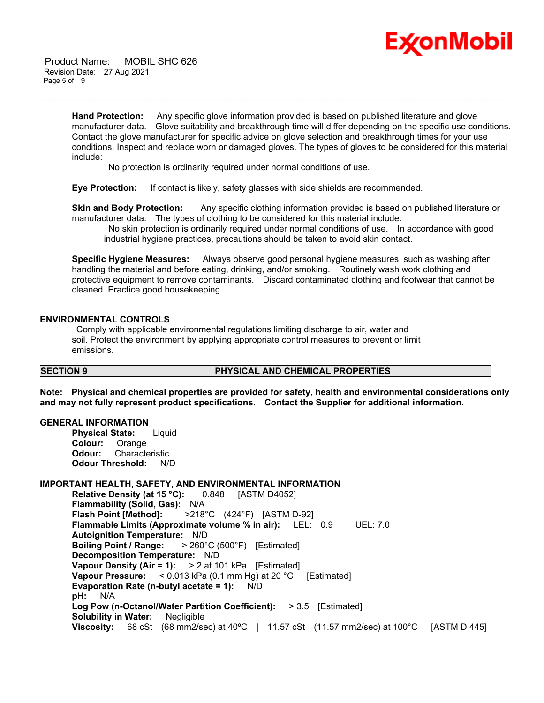

 Product Name: MOBIL SHC 626 Revision Date: 27 Aug 2021 Page 5 of 9

> **Hand Protection:** Any specific glove information provided is based on published literature and glove manufacturer data. Glove suitability and breakthrough time will differ depending on the specific use conditions. Contact the glove manufacturer for specific advice on glove selection and breakthrough times for your use conditions. Inspect and replace worn or damaged gloves. The types of gloves to be considered for this material include:

\_\_\_\_\_\_\_\_\_\_\_\_\_\_\_\_\_\_\_\_\_\_\_\_\_\_\_\_\_\_\_\_\_\_\_\_\_\_\_\_\_\_\_\_\_\_\_\_\_\_\_\_\_\_\_\_\_\_\_\_\_\_\_\_\_\_\_\_\_\_\_\_\_\_\_\_\_\_\_\_\_\_\_\_\_\_\_\_\_\_\_\_\_\_\_\_\_\_\_\_\_\_\_\_\_\_\_\_\_\_\_\_\_\_\_\_\_

No protection is ordinarily required under normal conditions of use.

**Eye Protection:** If contact is likely, safety glasses with side shields are recommended.

**Skin and Body Protection:** Any specific clothing information provided is based on published literature or manufacturer data. The types of clothing to be considered for this material include:

No skin protection is ordinarily required under normal conditions of use. In accordance with good industrial hygiene practices, precautions should be taken to avoid skin contact.

**Specific Hygiene Measures:** Always observe good personal hygiene measures, such as washing after handling the material and before eating, drinking, and/or smoking. Routinely wash work clothing and protective equipment to remove contaminants. Discard contaminated clothing and footwear that cannot be cleaned. Practice good housekeeping.

#### **ENVIRONMENTAL CONTROLS**

Comply with applicable environmental regulations limiting discharge to air, water and soil. Protect the environment by applying appropriate control measures to prevent or limit emissions.

### **SECTION 9 PHYSICAL AND CHEMICAL PROPERTIES**

**Note: Physical and chemical properties are provided for safety, health and environmental considerations only and may not fully represent product specifications. Contact the Supplier for additional information.**

#### **GENERAL INFORMATION**

**Physical State:** Liquid **Colour:** Orange **Odour:** Characteristic **Odour Threshold:** N/D

#### **IMPORTANT HEALTH, SAFETY, AND ENVIRONMENTAL INFORMATION**

**Relative Density (at 15 °C):** 0.848 [ASTM D4052] **Flammability (Solid, Gas):** N/A **Flash Point [Method]:** >218°C (424°F) [ASTM D-92] **Flammable Limits (Approximate volume % in air):** LEL: 0.9 UEL: 7.0 **Autoignition Temperature:** N/D **Boiling Point / Range:** > 260°C (500°F) [Estimated] **Decomposition Temperature:** N/D **Vapour Density (Air = 1):** > 2 at 101 kPa [Estimated] **Vapour Pressure:** < 0.013 kPa (0.1 mm Hg) at 20 °C [Estimated] **Evaporation Rate (n-butyl acetate = 1):** N/D **pH:** N/A **Log Pow (n-Octanol/Water Partition Coefficient):** > 3.5 [Estimated] **Solubility in Water:** Negligible **Viscosity:** 68 cSt (68 mm2/sec) at 40ºC | 11.57 cSt (11.57 mm2/sec) at 100°C [ASTM D 445]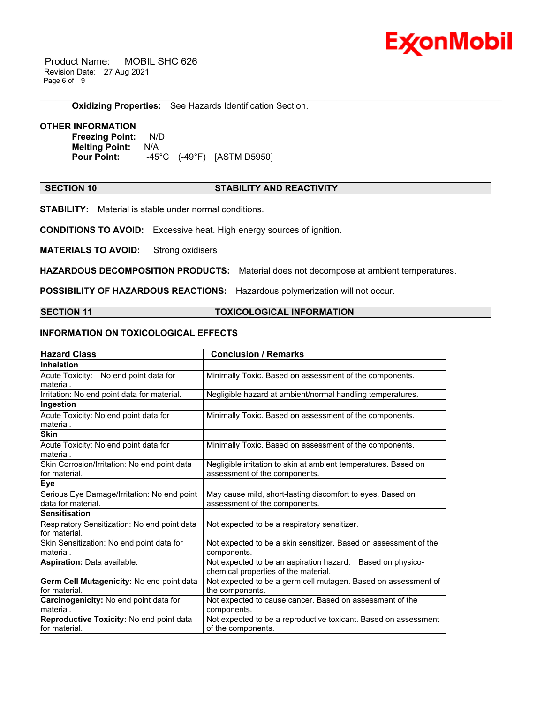

 Product Name: MOBIL SHC 626 Revision Date: 27 Aug 2021 Page 6 of 9

**Oxidizing Properties:** See Hazards Identification Section.

#### **OTHER INFORMATION**

**Freezing Point:** N/D **Melting Point:** N/A **Pour Point:** -45°C (-49°F) [ASTM D5950]

#### **SECTION 10 STABILITY AND REACTIVITY**

\_\_\_\_\_\_\_\_\_\_\_\_\_\_\_\_\_\_\_\_\_\_\_\_\_\_\_\_\_\_\_\_\_\_\_\_\_\_\_\_\_\_\_\_\_\_\_\_\_\_\_\_\_\_\_\_\_\_\_\_\_\_\_\_\_\_\_\_\_\_\_\_\_\_\_\_\_\_\_\_\_\_\_\_\_\_\_\_\_\_\_\_\_\_\_\_\_\_\_\_\_\_\_\_\_\_\_\_\_\_\_\_\_\_\_\_\_

**STABILITY:** Material is stable under normal conditions.

**CONDITIONS TO AVOID:** Excessive heat. High energy sources of ignition.

**MATERIALS TO AVOID:** Strong oxidisers

**HAZARDOUS DECOMPOSITION PRODUCTS:** Material does not decompose at ambient temperatures.

**POSSIBILITY OF HAZARDOUS REACTIONS:** Hazardous polymerization will not occur.

#### **SECTION 11 TOXICOLOGICAL INFORMATION**

### **INFORMATION ON TOXICOLOGICAL EFFECTS**

| <b>Hazard Class</b>                                               | <b>Conclusion / Remarks</b>                                                                        |
|-------------------------------------------------------------------|----------------------------------------------------------------------------------------------------|
| <b>Inhalation</b>                                                 |                                                                                                    |
| Acute Toxicity: No end point data for<br>material.                | Minimally Toxic. Based on assessment of the components.                                            |
| Irritation: No end point data for material.                       | Negligible hazard at ambient/normal handling temperatures.                                         |
| Ingestion                                                         |                                                                                                    |
| Acute Toxicity: No end point data for<br>material.                | Minimally Toxic. Based on assessment of the components.                                            |
| <b>Skin</b>                                                       |                                                                                                    |
| Acute Toxicity: No end point data for<br>lmaterial.               | Minimally Toxic. Based on assessment of the components.                                            |
| Skin Corrosion/Irritation: No end point data<br>for material.     | Negligible irritation to skin at ambient temperatures. Based on<br>assessment of the components.   |
| <b>Eye</b>                                                        |                                                                                                    |
| Serious Eye Damage/Irritation: No end point<br>data for material. | May cause mild, short-lasting discomfort to eyes. Based on<br>assessment of the components.        |
| <b>Sensitisation</b>                                              |                                                                                                    |
| Respiratory Sensitization: No end point data<br>for material.     | Not expected to be a respiratory sensitizer.                                                       |
| Skin Sensitization: No end point data for<br>material.            | Not expected to be a skin sensitizer. Based on assessment of the<br>components.                    |
| Aspiration: Data available.                                       | Not expected to be an aspiration hazard. Based on physico-<br>chemical properties of the material. |
| Germ Cell Mutagenicity: No end point data<br>for material.        | Not expected to be a germ cell mutagen. Based on assessment of<br>the components.                  |
| Carcinogenicity: No end point data for<br>material.               | Not expected to cause cancer. Based on assessment of the<br>components.                            |
| Reproductive Toxicity: No end point data<br>for material.         | Not expected to be a reproductive toxicant. Based on assessment<br>of the components.              |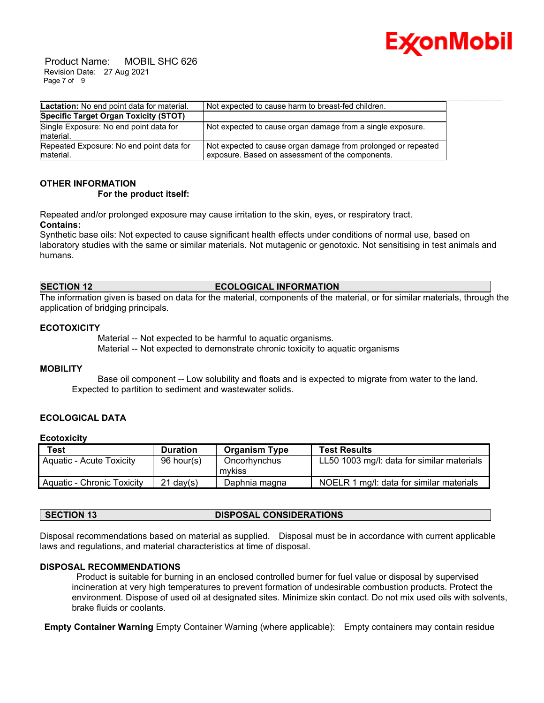

 Product Name: MOBIL SHC 626 Revision Date: 27 Aug 2021 Page 7 of 9

| Lactation: No end point data for material.            | Not expected to cause harm to breast-fed children.                                                                |
|-------------------------------------------------------|-------------------------------------------------------------------------------------------------------------------|
| Specific Target Organ Toxicity (STOT)                 |                                                                                                                   |
| Single Exposure: No end point data for<br>material.   | Not expected to cause organ damage from a single exposure.                                                        |
| Repeated Exposure: No end point data for<br>material. | Not expected to cause organ damage from prolonged or repeated<br>exposure. Based on assessment of the components. |

### **OTHER INFORMATION**

#### **For the product itself:**

Repeated and/or prolonged exposure may cause irritation to the skin, eyes, or respiratory tract. **Contains:**

Synthetic base oils: Not expected to cause significant health effects under conditions of normal use, based on laboratory studies with the same or similar materials. Not mutagenic or genotoxic. Not sensitising in test animals and humans.

#### **SECTION 12 ECOLOGICAL INFORMATION**

The information given is based on data for the material, components of the material, or for similar materials, through the application of bridging principals.

#### **ECOTOXICITY**

 Material -- Not expected to be harmful to aquatic organisms. Material -- Not expected to demonstrate chronic toxicity to aquatic organisms

#### **MOBILITY**

 Base oil component -- Low solubility and floats and is expected to migrate from water to the land. Expected to partition to sediment and wastewater solids.

#### **ECOLOGICAL DATA**

#### **Ecotoxicity**

| Test                       | <b>Duration</b> | <b>Organism Type</b>   | <b>Test Results</b>                        |
|----------------------------|-----------------|------------------------|--------------------------------------------|
| Aquatic - Acute Toxicity   | $96$ hour(s)    | Oncorhynchus<br>mykiss | LL50 1003 mg/l: data for similar materials |
| Aquatic - Chronic Toxicity | $21$ dav $(s)$  | Daphnia magna          | NOELR 1 mg/l: data for similar materials   |

| <b>DISPOSAL CONSIDERATIONS</b><br><b>SECTION 13</b> |  |
|-----------------------------------------------------|--|
|-----------------------------------------------------|--|

Disposal recommendations based on material as supplied. Disposal must be in accordance with current applicable laws and regulations, and material characteristics at time of disposal.

#### **DISPOSAL RECOMMENDATIONS**

Product is suitable for burning in an enclosed controlled burner for fuel value or disposal by supervised incineration at very high temperatures to prevent formation of undesirable combustion products. Protect the environment. Dispose of used oil at designated sites. Minimize skin contact. Do not mix used oils with solvents, brake fluids or coolants.

**Empty Container Warning** Empty Container Warning (where applicable): Empty containers may contain residue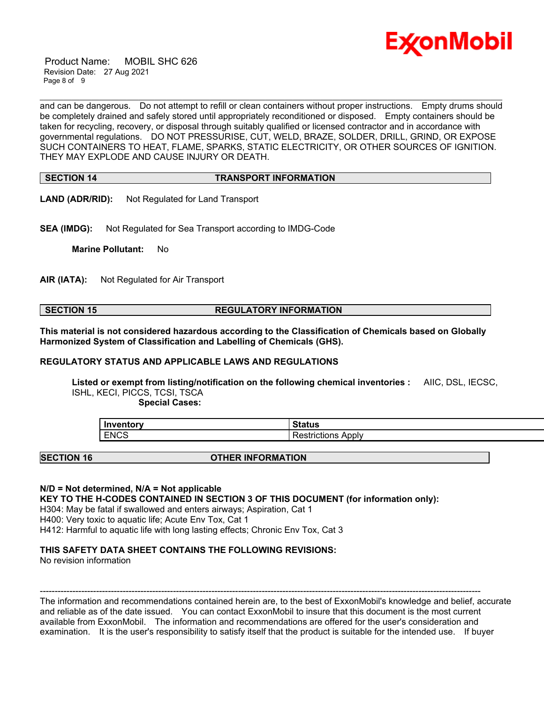

 Product Name: MOBIL SHC 626 Revision Date: 27 Aug 2021 Page 8 of 9

and can be dangerous. Do not attempt to refill or clean containers without proper instructions. Empty drums should be completely drained and safely stored until appropriately reconditioned or disposed. Empty containers should be taken for recycling, recovery, or disposal through suitably qualified or licensed contractor and in accordance with governmental regulations. DO NOT PRESSURISE, CUT, WELD, BRAZE, SOLDER, DRILL, GRIND, OR EXPOSE SUCH CONTAINERS TO HEAT, FLAME, SPARKS, STATIC ELECTRICITY, OR OTHER SOURCES OF IGNITION. THEY MAY EXPLODE AND CAUSE INJURY OR DEATH.

\_\_\_\_\_\_\_\_\_\_\_\_\_\_\_\_\_\_\_\_\_\_\_\_\_\_\_\_\_\_\_\_\_\_\_\_\_\_\_\_\_\_\_\_\_\_\_\_\_\_\_\_\_\_\_\_\_\_\_\_\_\_\_\_\_\_\_\_\_\_\_\_\_\_\_\_\_\_\_\_\_\_\_\_\_\_\_\_\_\_\_\_\_\_\_\_\_\_\_\_\_\_\_\_\_\_\_\_\_\_\_\_\_\_\_\_\_

#### **SECTION 14 TRANSPORT INFORMATION**

**LAND (ADR/RID):** Not Regulated for Land Transport

**SEA (IMDG):** Not Regulated for Sea Transport according to IMDG-Code

**Marine Pollutant:** No

**AIR (IATA):** Not Regulated for Air Transport

### **SECTION 15 REGULATORY INFORMATION**

**This material is not considered hazardous according to the Classification of Chemicals based on Globally Harmonized System of Classification and Labelling of Chemicals (GHS).**

#### **REGULATORY STATUS AND APPLICABLE LAWS AND REGULATIONS**

**Listed or exempt from listing/notification on the following chemical inventories :** AIIC, DSL, IECSC, ISHL, KECI, PICCS, TCSI, TSCA

 **Special Cases:**

| Inventory   | <b>Status</b>              |
|-------------|----------------------------|
| <b>ENCS</b> | Apply<br>.<br>kestrictions |

#### **SECTION 16 OTHER INFORMATION**

#### **N/D = Not determined, N/A = Not applicable**

**KEY TO THE H-CODES CONTAINED IN SECTION 3 OF THIS DOCUMENT (for information only):**

H304: May be fatal if swallowed and enters airways; Aspiration, Cat 1

H400: Very toxic to aquatic life; Acute Env Tox, Cat 1

H412: Harmful to aquatic life with long lasting effects; Chronic Env Tox, Cat 3

### **THIS SAFETY DATA SHEET CONTAINS THE FOLLOWING REVISIONS:**

No revision information

----------------------------------------------------------------------------------------------------------------------------------------------------- The information and recommendations contained herein are, to the best of ExxonMobil's knowledge and belief, accurate and reliable as of the date issued. You can contact ExxonMobil to insure that this document is the most current available from ExxonMobil. The information and recommendations are offered for the user's consideration and

examination. It is the user's responsibility to satisfy itself that the product is suitable for the intended use. If buyer